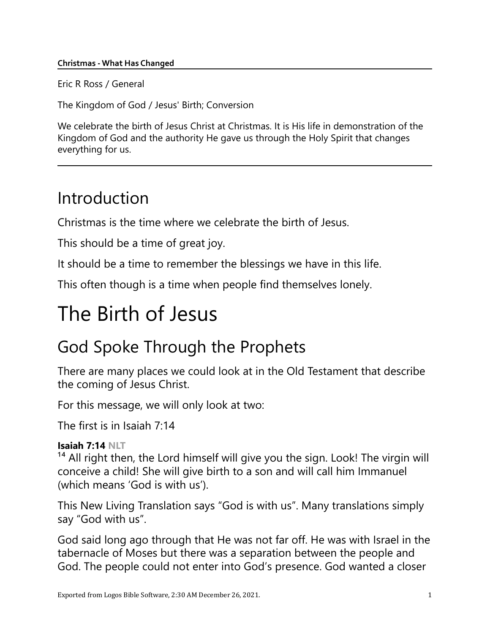#### Christmas - What Has Changed

Eric R Ross / General

The Kingdom of God / Jesus' Birth; Conversion

We celebrate the birth of Jesus Christ at Christmas. It is His life in demonstration of the Kingdom of God and the authority He gave us through the Holy Spirit that changes everything for us.

## Introduction

Christmas is the time where we celebrate the birth of Jesus.

This should be a time of great joy.

It should be a time to remember the blessings we have in this life.

This often though is a time when people find themselves lonely.

# The Birth of Jesus

## God Spoke Through the Prophets

There are many places we could look at in the Old Testament that describe the coming of Jesus Christ.

For this message, we will only look at two:

The first is in Isaiah 7:14

### Isaiah 7:14 NLT

<sup>14</sup> All right then, the Lord himself will give you the sign. Look! The virgin will conceive a child! She will give birth to a son and will call him Immanuel (which means 'God is with us').

This New Living Translation says "God is with us". Many translations simply say "God with us".

God said long ago through that He was not far off. He was with Israel in the tabernacle of Moses but there was a separation between the people and God. The people could not enter into God's presence. God wanted a closer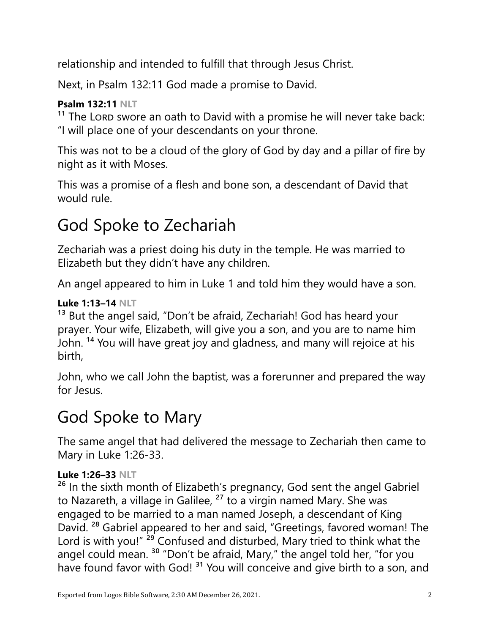relationship and intended to fulfill that through Jesus Christ.

Next, in Psalm 132:11 God made a promise to David.

## Psalm 132:11 NLT

 $11$  The LORD swore an oath to David with a promise he will never take back: "I will place one of your descendants on your throne.

This was not to be a cloud of the glory of God by day and a pillar of fire by night as it with Moses.

This was a promise of a flesh and bone son, a descendant of David that would rule.

## God Spoke to Zechariah

Zechariah was a priest doing his duty in the temple. He was married to Elizabeth but they didn't have any children.

An angel appeared to him in Luke 1 and told him they would have a son.

### Luke 1:13–14 NLT

<sup>13</sup> But the angel said, "Don't be afraid, Zechariah! God has heard your prayer. Your wife, Elizabeth, will give you a son, and you are to name him John. 14 You will have great joy and gladness, and many will rejoice at his birth,

John, who we call John the baptist, was a forerunner and prepared the way for Jesus.

## God Spoke to Mary

The same angel that had delivered the message to Zechariah then came to Mary in Luke 1:26-33.

### Luke 1:26–33 NLT

<sup>26</sup> In the sixth month of Elizabeth's pregnancy, God sent the angel Gabriel to Nazareth, a village in Galilee,  $27$  to a virgin named Mary. She was engaged to be married to a man named Joseph, a descendant of King David. 28 Gabriel appeared to her and said, "Greetings, favored woman! The Lord is with you!" <sup>29</sup> Confused and disturbed, Mary tried to think what the angel could mean.<sup>30</sup> "Don't be afraid, Mary," the angel told her, "for you have found favor with God!<sup>31</sup> You will conceive and give birth to a son, and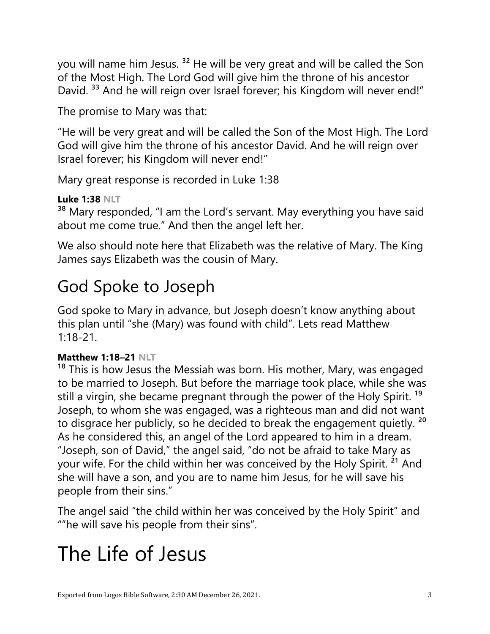you will name him Jesus.<sup>32</sup> He will be very great and will be called the Son of the Most High. The Lord God will give him the throne of his ancestor David.<sup>33</sup> And he will reign over Israel forever; his Kingdom will never end!"

The promise to Mary was that:

"He will be very great and will be called the Son of the Most High. The Lord God will give him the throne of his ancestor David. And he will reign over Israel forever; his Kingdom will never end!"

Mary great response is recorded in Luke 1:38

### Luke 1:38 NLT

<sup>38</sup> Mary responded, "I am the Lord's servant. May everything you have said about me come true." And then the angel left her.

We also should note here that Elizabeth was the relative of Mary. The King James says Elizabeth was the cousin of Mary.

## God Spoke to Joseph

God spoke to Mary in advance, but Joseph doesn't know anything about this plan until "she (Mary) was found with child". Lets read Matthew 1:18-21.

## Matthew 1:18–21 NLT

<sup>18</sup> This is how Jesus the Messiah was born. His mother, Mary, was engaged to be married to Joseph. But before the marriage took place, while she was still a virgin, she became pregnant through the power of the Holy Spirit.<sup>19</sup> Joseph, to whom she was engaged, was a righteous man and did not want to disgrace her publicly, so he decided to break the engagement quietly. <sup>20</sup> As he considered this, an angel of the Lord appeared to him in a dream. "Joseph, son of David," the angel said, "do not be afraid to take Mary as your wife. For the child within her was conceived by the Holy Spirit. <sup>21</sup> And she will have a son, and you are to name him Jesus, for he will save his people from their sins."

The angel said "the child within her was conceived by the Holy Spirit" and ""he will save his people from their sins".

# The Life of Jesus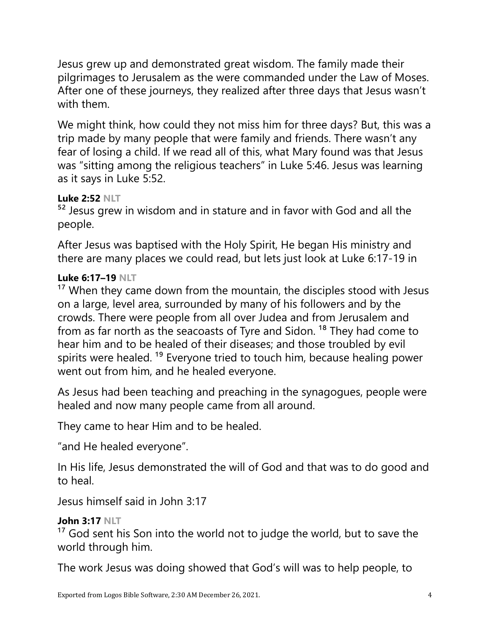Jesus grew up and demonstrated great wisdom. The family made their pilgrimages to Jerusalem as the were commanded under the Law of Moses. After one of these journeys, they realized after three days that Jesus wasn't with them.

We might think, how could they not miss him for three days? But, this was a trip made by many people that were family and friends. There wasn't any fear of losing a child. If we read all of this, what Mary found was that Jesus was "sitting among the religious teachers" in Luke 5:46. Jesus was learning as it says in Luke 5:52.

## Luke 2:52 NLT

<sup>52</sup> Jesus grew in wisdom and in stature and in favor with God and all the people.

After Jesus was baptised with the Holy Spirit, He began His ministry and there are many places we could read, but lets just look at Luke 6:17-19 in

### Luke 6:17–19 NLT

 $17$  When they came down from the mountain, the disciples stood with Jesus on a large, level area, surrounded by many of his followers and by the crowds. There were people from all over Judea and from Jerusalem and from as far north as the seacoasts of Tyre and Sidon.<sup>18</sup> They had come to hear him and to be healed of their diseases; and those troubled by evil spirits were healed.<sup>19</sup> Everyone tried to touch him, because healing power went out from him, and he healed everyone.

As Jesus had been teaching and preaching in the synagogues, people were healed and now many people came from all around.

They came to hear Him and to be healed.

"and He healed everyone".

In His life, Jesus demonstrated the will of God and that was to do good and to heal.

Jesus himself said in John 3:17

## John 3:17 NLT

 $17$  God sent his Son into the world not to judge the world, but to save the world through him.

The work Jesus was doing showed that God's will was to help people, to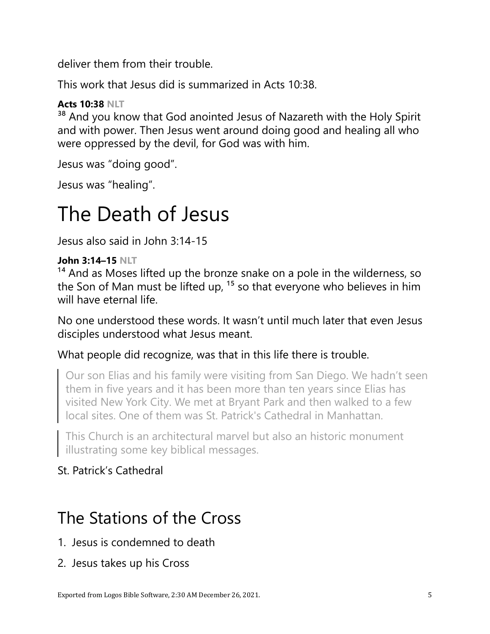deliver them from their trouble.

This work that Jesus did is summarized in Acts 10:38.

## Acts 10:38 NLT

<sup>38</sup> And you know that God anointed Jesus of Nazareth with the Holy Spirit and with power. Then Jesus went around doing good and healing all who were oppressed by the devil, for God was with him.

Jesus was "doing good".

Jesus was "healing".

# The Death of Jesus

Jesus also said in John 3:14-15

### John 3:14–15 NLT

<sup>14</sup> And as Moses lifted up the bronze snake on a pole in the wilderness, so the Son of Man must be lifted up,  $15$  so that everyone who believes in him will have eternal life.

No one understood these words. It wasn't until much later that even Jesus disciples understood what Jesus meant.

## What people did recognize, was that in this life there is trouble.

Our son Elias and his family were visiting from San Diego. We hadn't seen them in five years and it has been more than ten years since Elias has visited New York City. We met at Bryant Park and then walked to a few local sites. One of them was St. Patrick's Cathedral in Manhattan.

This Church is an architectural marvel but also an historic monument illustrating some key biblical messages.

## St. Patrick's Cathedral

## The Stations of the Cross

- 1. Jesus is condemned to death
- 2. Jesus takes up his Cross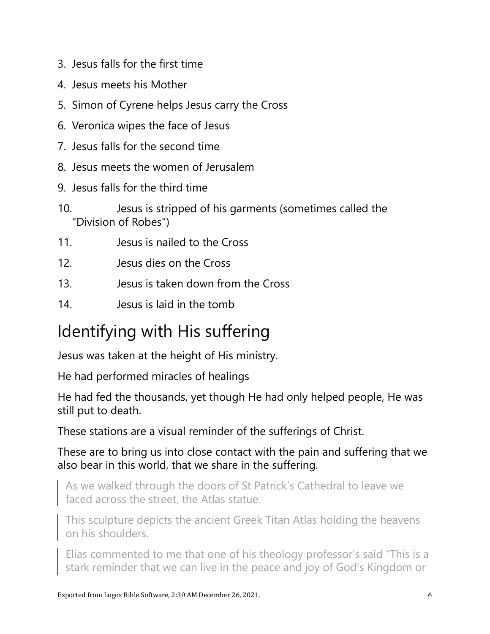- 3. Jesus falls for the first time
- 4. Jesus meets his Mother
- 5. Simon of Cyrene helps Jesus carry the Cross
- 6. Veronica wipes the face of Jesus
- 7. Jesus falls for the second time
- 8. Jesus meets the women of Jerusalem
- 9. Jesus falls for the third time
- 10. Jesus is stripped of his garments (sometimes called the "Division of Robes")
- 11. Jesus is nailed to the Cross
- 12. Jesus dies on the Cross
- 13. Jesus is taken down from the Cross
- 14. Jesus is laid in the tomb

## Identifying with His suffering

Jesus was taken at the height of His ministry.

He had performed miracles of healings

He had fed the thousands, yet though He had only helped people, He was still put to death.

These stations are a visual reminder of the sufferings of Christ.

These are to bring us into close contact with the pain and suffering that we also bear in this world, that we share in the suffering.

As we walked through the doors of St Patrick's Cathedral to leave we faced across the street, the Atlas statue.

This sculpture depicts the ancient Greek Titan Atlas holding the heavens on his shoulders.

Elias commented to me that one of his theology professor's said "This is a stark reminder that we can live in the peace and joy of God's Kingdom or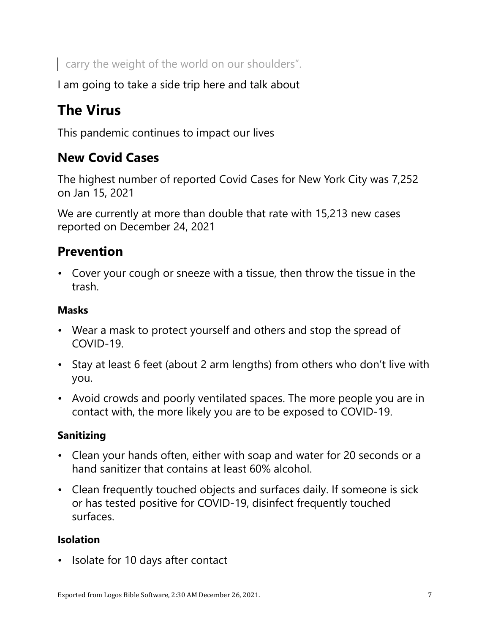carry the weight of the world on our shoulders".

I am going to take a side trip here and talk about

## The Virus

This pandemic continues to impact our lives

## New Covid Cases

The highest number of reported Covid Cases for New York City was 7,252 on Jan 15, 2021

We are currently at more than double that rate with 15,213 new cases reported on December 24, 2021

## **Prevention**

• Cover your cough or sneeze with a tissue, then throw the tissue in the trash.

## Masks

- Wear a mask to protect yourself and others and stop the spread of COVID-19.
- Stay at least 6 feet (about 2 arm lengths) from others who don't live with you.
- Avoid crowds and poorly ventilated spaces. The more people you are in contact with, the more likely you are to be exposed to COVID-19.

## Sanitizing

- Clean your hands often, either with soap and water for 20 seconds or a hand sanitizer that contains at least 60% alcohol.
- Clean frequently touched objects and surfaces daily. If someone is sick or has tested positive for COVID-19, disinfect frequently touched surfaces.

## Isolation

• Isolate for 10 days after contact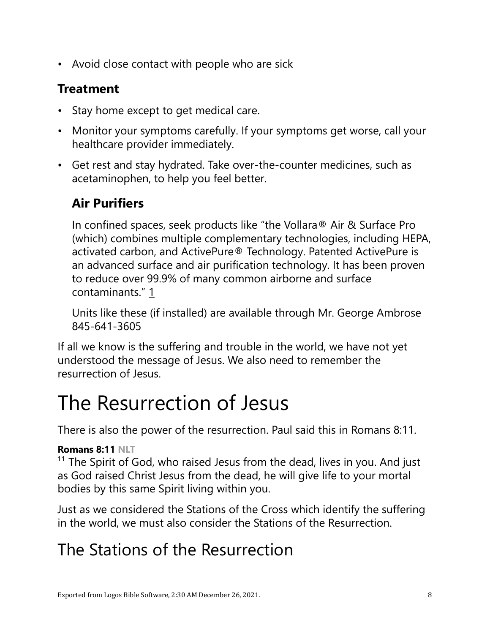• Avoid close contact with people who are sick

## Treatment

- Stay home except to get medical care.
- Monitor your symptoms carefully. If your symptoms get worse, call your healthcare provider immediately.
- Get rest and stay hydrated. Take over-the-counter medicines, such as acetaminophen, to help you feel better.

## Air Purifiers

In confined spaces, seek products like "the Vollara® Air & Surface Pro (which) combines multiple complementary technologies, including HEPA, activated carbon, and ActivePure® Technology. Patented ActivePure is an advanced surface and air purification technology. It has been proven to reduce over 99.9% of many common airborne and surface contaminants." 1

Units like these (if installed) are available through Mr. George Ambrose 845-641-3605

If all we know is the suffering and trouble in the world, we have not yet understood the message of Jesus. We also need to remember the resurrection of Jesus.

# The Resurrection of Jesus

There is also the power of the resurrection. Paul said this in Romans 8:11.

## Romans 8:11 NLT

<sup>11</sup> The Spirit of God, who raised Jesus from the dead, lives in you. And just as God raised Christ Jesus from the dead, he will give life to your mortal bodies by this same Spirit living within you.

Just as we considered the Stations of the Cross which identify the suffering in the world, we must also consider the Stations of the Resurrection.

## The Stations of the Resurrection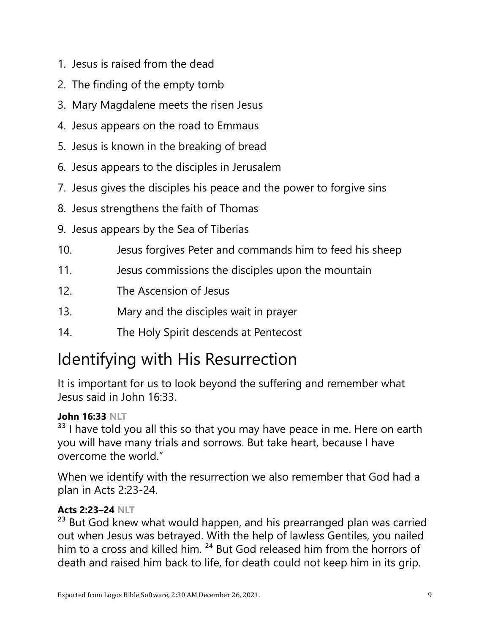- 1. Jesus is raised from the dead
- 2. The finding of the empty tomb
- 3. Mary Magdalene meets the risen Jesus
- 4. Jesus appears on the road to Emmaus
- 5. Jesus is known in the breaking of bread
- 6. Jesus appears to the disciples in Jerusalem
- 7. Jesus gives the disciples his peace and the power to forgive sins
- 8. Jesus strengthens the faith of Thomas
- 9. Jesus appears by the Sea of Tiberias
- 10. Jesus forgives Peter and commands him to feed his sheep
- 11. Jesus commissions the disciples upon the mountain
- 12. The Ascension of Jesus
- 13. Mary and the disciples wait in prayer
- 14. The Holy Spirit descends at Pentecost

## Identifying with His Resurrection

It is important for us to look beyond the suffering and remember what Jesus said in John 16:33.

### John 16:33 NLT

<sup>33</sup> I have told you all this so that you may have peace in me. Here on earth you will have many trials and sorrows. But take heart, because I have overcome the world."

When we identify with the resurrection we also remember that God had a plan in Acts 2:23-24.

## Acts 2:23–24 NLT

<sup>23</sup> But God knew what would happen, and his prearranged plan was carried out when Jesus was betrayed. With the help of lawless Gentiles, you nailed him to a cross and killed him. <sup>24</sup> But God released him from the horrors of death and raised him back to life, for death could not keep him in its grip.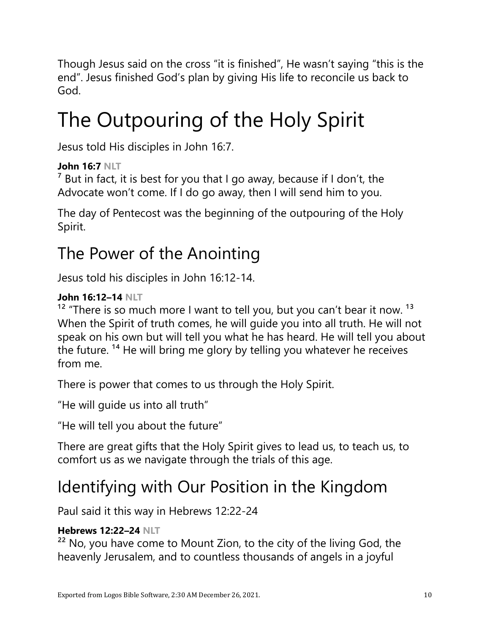Though Jesus said on the cross "it is finished", He wasn't saying "this is the end". Jesus finished God's plan by giving His life to reconcile us back to God.

# The Outpouring of the Holy Spirit

Jesus told His disciples in John 16:7.

## John 16:7 NLT

 $<sup>7</sup>$  But in fact, it is best for you that I go away, because if I don't, the</sup> Advocate won't come. If I do go away, then I will send him to you.

The day of Pentecost was the beginning of the outpouring of the Holy Spirit.

## The Power of the Anointing

Jesus told his disciples in John 16:12-14.

### John 16:12–14 NLT

 $12$  "There is so much more I want to tell you, but you can't bear it now.  $13$ When the Spirit of truth comes, he will guide you into all truth. He will not speak on his own but will tell you what he has heard. He will tell you about the future. 14 He will bring me glory by telling you whatever he receives from me.

There is power that comes to us through the Holy Spirit.

"He will guide us into all truth"

"He will tell you about the future"

There are great gifts that the Holy Spirit gives to lead us, to teach us, to comfort us as we navigate through the trials of this age.

## Identifying with Our Position in the Kingdom

Paul said it this way in Hebrews 12:22-24

## Hebrews 12:22–24 NLT

 $22$  No, you have come to Mount Zion, to the city of the living God, the heavenly Jerusalem, and to countless thousands of angels in a joyful